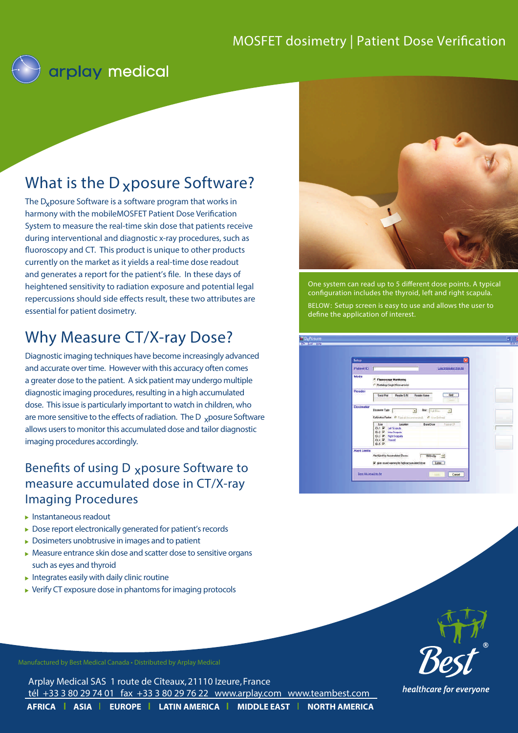#### $H$  Dose Verification MOSFET dosimetry | Patient Dose Verification



# What is the  $D_x$  posure Software?

The D<sub>x</sub>posure Software is a software program that works in harmony with the mobileMOSFET Patient Dose Verification System to measure the real-time skin dose that patients receive during interventional and diagnostic x-ray procedures, such as fluoroscopy and CT. This product is unique to other products currently on the market as it yields a real-time dose readout and generates a report for the patient's file. In these days of heightened sensitivity to radiation exposure and potential legal repercussions should side effects result, these two attributes are essential for patient dosimetry.

# Why Measure CT/X-ray Dose?

Diagnostic imaging techniques have become increasingly advanced and accurate over time. However with this accuracy often comes a greater dose to the patient. A sick patient may undergo multiple diagnostic imaging procedures, resulting in a high accumulated dose. This issue is particularly important to watch in children, who are more sensitive to the effects of radiation. The D <sub>x</sub>posure Software allows users to monitor this accumulated dose and tailor diagnostic imaging procedures accordingly.

### Benefits of using D  $_{x}$  posure Software to measure accumulated dose in CT/X-ray Imaging Procedures

- $\blacktriangleright$  Instantaneous readout
- ▶ Dose report electronically generated for patient's records
- $\triangleright$  Dosimeters unobtrusive in images and to patient
- Measure entrance skin dose and scatter dose to sensitive organs such as eyes and thyroid
- $\triangleright$  Integrates easily with daily clinic routine
- Verify CT exposure dose in phantoms for imaging protocols



One system can read up to 5 different dose points. A typical configuration includes the thyroid, left and right scapula. BELOW: Setup screen is easy to use and allows the user to define the application of interest.

| Setup               |                                                                                                                                                                                                                                                                                                                              |
|---------------------|------------------------------------------------------------------------------------------------------------------------------------------------------------------------------------------------------------------------------------------------------------------------------------------------------------------------------|
| Patient ID.         | Load internation from the                                                                                                                                                                                                                                                                                                    |
| Milde               | - Flasoscopy Hontonna<br><b>Raticlogy Sarge Measurement</b>                                                                                                                                                                                                                                                                  |
| Reader              | Fint<br><b>Finadez Name</b><br><b>Swist Part</b><br>Finader S.N.<br><b>STATISTICS</b><br>-                                                                                                                                                                                                                                   |
| <b>Dosimator</b>    | Dommer Tape<br><b>Auto Lighting</b><br>$\cdot$<br>ä,<br>Collected after 47 Land Improvement 27 Start Chinese<br>Bare Dose<br>Uin<br>Listates<br>Tax407<br>Chit IP: Let Scients<br>$Ch2$ <sup>12</sup><br><b>John Scanula</b><br>Chi P. RotrTemah<br>$Q_{1,4}$ $\overline{M}$ :<br>Thungid<br>$ChE$ <sub><math>P</math></sub> |
| <b>Alart Limits</b> | <b>Ment Link for Accumulated Domes-</b><br>$150\,$<br>W give smart warming for high accumulated down<br>Later:                                                                                                                                                                                                               |



Manufactured by Best Medical Canada • Distributed by Arplay Medical

**AFRICA | ASIA | EUROPE | LATIN AMERICA | MIDDLE EAST | NORTH AMERICA** Arplay Medical SAS 1 route de Cîteaux, 21110 Izeure, France tél +33 3 80 29 74 01 fax +33 3 80 29 76 22 www.arplay.com www.teambest.com

healthcare for everyone